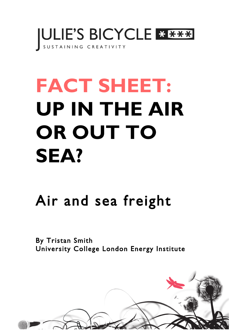

# **FACT SHEET: UP IN THE AIR OR OUT TO SEA?**

# Air and sea freight

By Tristan Smith University College London Energy Institute

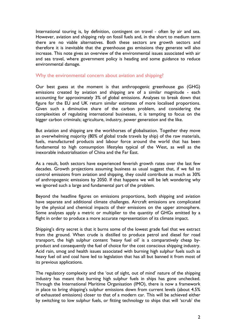International touring is, by definition, contingent on travel - often by air and sea. However, aviation and shipping rely on fossil fuels and, in the short to medium term there are no viable alternatives. Both these sectors are growth sectors and therefore it is inevitable that the greenhouse gas emissions they generate will also increase. This note gives an overview of the environmental issues associated with air and sea travel, where government policy is heading and some guidance to reduce environmental damage.

## Why the environmental concern about aviation and shipping?

Our best guess at the moment is that anthropogenic greenhouse gas (GHG) emissions created by aviation and shipping are of a similar magnitude - each accounting for approximately 3% of global emissions. Analyses to break down that figure for the EU and UK return similar estimates of more localised proportions. Given such a diminutive share of the carbon problem, and considering the complexities of regulating international businesses, it is tempting to focus on the bigger carbon criminals; agriculture, industry, power generation and the like.

But aviation and shipping are the workhorses of globalisation. Together they move an overwhelming majority (80% of global trade travels by ship) of the raw materials, fuels, manufactured products and labour force around the world that has been fundamental to high consumption lifestyles typical of the West, as well as the inexorable industrialisation of China and the Far East.

As a result, both sectors have experienced feverish growth rates over the last few decades. Growth projections assuming business as usual suggest that, if we fail to control emissions from aviation and shipping, they could contribute as much as 30% of anthropogenic emissions by 2050. If that happens we will be left wondering why we ignored such a large and fundamental part of the problem.

Beyond the headline figures on emissions proportions, both shipping and aviation have separate and additional climate challenges. Aircraft emissions are complicated by the physical and chemical impacts of their emissions on the upper atmosphere. Some analyses apply a metric or multiplier to the quantity of GHGs emitted by a flight in order to produce a more accurate representation of its climate impact.

Shipping's dirty secret is that it burns some of the lowest grade fuel that we extract from the ground. When crude is distilled to produce petrol and diesel for road transport, the high sulphur content 'heavy fuel oil' is a comparatively cheap byproduct and consequently the fuel of choice for the cost conscious shipping industry. Acid rain, smog and health issues associated with burning high sulphur fuels such as heavy fuel oil and coal have led to legislation that has all but banned it from most of its previous applications.

The regulatory complexity and the 'out of sight, out of mind' nature of the shipping industry has meant that burning high sulphur fuels in ships has gone unchecked. Through the International Maritime Organisation (IMO), there is now a framework in place to bring shipping's sulphur emissions down from current levels (about 4.5% of exhausted emissions) closer to that of a modern car. This will be achieved either by switching to low sulphur fuels, or fitting technology to ships that will 'scrub' the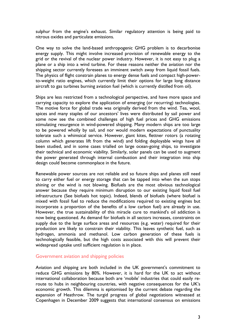sulphur from the engine's exhaust. Similar regulatory attention is being paid to nitrous oxides and particulate emissions.

One way to solve the land-based anthropogenic GHG problem is to decarbonise energy supply. This might involve increased provision of renewable energy to the grid or the revival of the nuclear power industry. However, it is not easy to plug a plane or a ship into a wind turbine. For these reasons neither the aviation nor the shipping sector currently foresees an imminent switch away from liquid fossil fuels. The physics of flight constrain planes to energy dense fuels and compact high-powerto-weight ratio engines, which currently limit their options for large long distance aircraft to gas turbines burning aviation fuel (which is currently distilled from oil).

Ships are less restricted from a technological perspective, and have more space and carrying capacity to explore the application of emerging (or recurring) technologies. The motive force for global trade was originally derived from the wind. Tea, wool, spices and many staples of our ancestors' lives were distributed by sail power and some now see the combined challenges of high fuel prices and GHG emissions stimulating resurgence in wind-powered shipping. Many modern ships are too large to be powered wholly by sail, and nor would modern expectations of punctuality tolerate such a whimsical service. However, giant kites, flettner rotors (a rotating column which generates lift from the wind) and folding deployable wings have all been studied, and in some cases trialled on large ocean-going ships, to investigate their technical and economic viability. Similarly, solar panels can be used to augment the power generated through internal combustion and their integration into ship design could become commonplace in the future.

Renewable power sources are not reliable and so future ships and planes still need to carry either fuel or energy storage that can be tapped into when the sun stops shining or the wind is not blowing. Biofuels are the most obvious technological answer because they require minimum disruption to our existing liquid fossil fuel infrastructure (See biofuels hot topic). Indeed, blends of biofuels (where biofuel is mixed with fossil fuel to reduce the modifications required to existing engines but incorporate a proportion of the benefits of a low carbon fuel) are already in use. However, the true sustainability of this miracle cure to mankind's oil addiction is now being questioned. As demand for biofuels in all sectors increases, constraints on supply due to the large surface areas and resources (e.g. water) required for their production are likely to constrain their viability. This leaves synthetic fuel, such as hydrogen, ammonia and methanol. Low carbon generation of these fuels is technologically feasible, but the high costs associated with this will prevent their widespread uptake until sufficient regulation is in place.

#### Government aviation and shipping policies

Aviation and shipping are both included in the UK government's commitment to reduce GHG emissions by 80%. However, it is hard for the UK to act without international collaboration because both are 'mobile' industries that could easily reroute to hubs in neighbouring countries, with negative consequences for the UK's economic growth. This dilemma is epitomised by the current debate regarding the expansion of Heathrow. The turgid progress of global negotiations witnessed at Copenhagen in December 2009 suggests that international consensus on emissions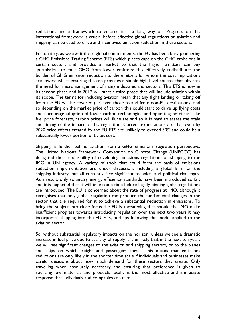reductions and a framework to enforce it is a long way off. Progress on this international framework is crucial before effective global regulations on aviation and shipping can be used to drive and incentivise emission reduction in these sectors.

Fortunately, as we await those global commitments, the EU has been busy pioneering a GHG Emissions Trading Scheme (ETS) which places caps on the GHG emissions in certain sectors and provides a market so that the higher emitters can buy 'permission' to emit GHG from lower emitters: this effectively redistributes the burden of GHG emission reduction to the emitters for whom the cost implications are lowest whilst ensuring the cap provides a simple high level control that obviates the need for micromanagement of many industries and sectors. This ETS is now in its second phase and in 2012 will start a third phase that will include aviation within its scope. The terms for including aviation mean that any flight landing or taking off from the EU will be covered (i.e. even those to and from non-EU destinations) and so depending on the market price of carbon this could start to drive up flying costs and encourage adoption of lower carbon technologies and operating practices. Like fuel price forecasts, carbon prices will fluctuate and so it is hard to assess the scale and timing of the impact of this regulation. Current expectations are that even by 2020 price effects created by the EU ETS are unlikely to exceed 50% and could be a substantially lower portion of ticket cost.

Shipping is further behind aviation from a GHG emissions regulation perspective. The United Nations Framework Convention on Climate Change (UNFCCC) has delegated the responsibility of developing emissions regulation for shipping to the IMO, a UN agency. A variety of tools that could form the basis of emissions reduction implementation are under discussion, including a global ETS for the shipping industry, but all currently face significant technical and political challenges. As a result, only voluntary energy efficiency standards have been introduced so far, and it is expected that it will take some time before legally binding global regulations are introduced. The EU is concerned about the rate of progress at IMO, although it recognises that only global regulation can produce the fundamental changes in the sector that are required for it to achieve a substantial reduction in emissions. To bring the subject into close focus the EU is threatening that should the IMO make insufficient progress towards introducing regulation over the next two years it may incorporate shipping into the EU ETS, perhaps following the model applied to the aviation sector.

So, without substantial regulatory impacts on the horizon, unless we see a dramatic increase in fuel price due to scarcity of supply it is unlikely that in the next ten years we will see significant changes to the aviation and shipping sectors, or to the planes and ships on which freight and passengers travel. This means that emissions reductions are only likely in the shorter time scale if individuals and businesses make careful decisions about how much demand for these sectors they create. Only travelling when absolutely necessary and ensuring that preference is given to sourcing raw materials and products locally is the most effective and immediate response that individuals and companies can take.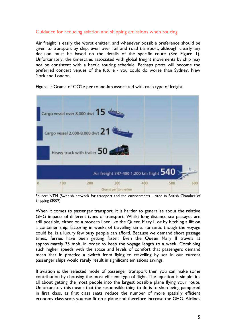# Guidance for reducing aviation and shipping emissions when touring

Air freight is easily the worst emitter, and whenever possible preference should be given to transport by ship, even over rail and road transport, although clearly any decision must be based on the details of the specific route (See Figure 1). Unfortunately, the timescales associated with global freight movements by ship may not be consistent with a hectic touring schedule. Perhaps ports will become the preferred concert venues of the future - you could do worse than Sydney, New York and London.

## Figure 1: Grams of CO2e per tonne-km associated with each type of freight



Source: NTM (Swedish network for transport and the environment) - cited in British Chamber of Shipping (2009)

When it comes to passenger transport, it is harder to generalise about the relative GHG impacts of different types of transport. Whilst long distance sea passages are still possible, either on a modern liner like the Queen Mary II or by hitching a lift on a container ship, factoring in weeks of travelling time, romantic though the voyage could be, is a luxury few busy people can afford. Because we demand short passage times, ferries have been getting faster. Even the Queen Mary II travels at approximately 35 mph, in order to keep the voyage length to a week. Combining such higher speeds with the space and levels of comfort that passengers demand mean that in practice a switch from flying to travelling by sea in our current passenger ships would rarely result in significant emissions savings.

If aviation is the selected mode of passenger transport then you can make some contribution by choosing the most efficient type of flight. The equation is simple: it's all about getting the most people into the largest possible plane flying your route. Unfortunately this means that the responsible thing to do is to shun being pampered in first class, as first class seats reduce the number of more spatially efficient economy class seats you can fit on a plane and therefore increase the GHG. Airlines